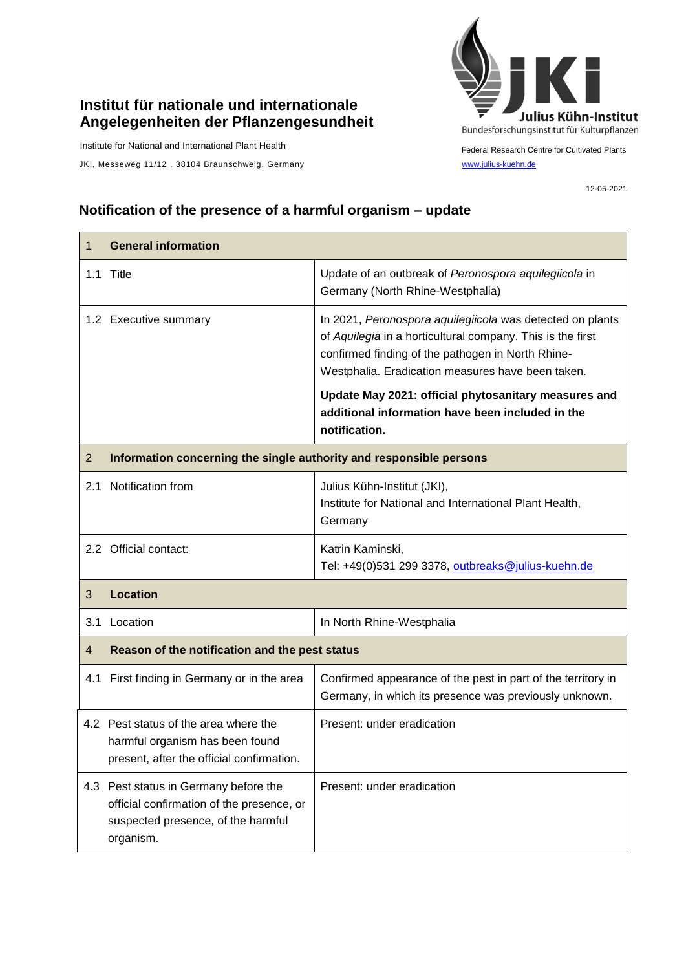## **Institut für nationale und internationale Angelegenheiten der Pflanzengesundheit**

Institute for National and International Plant Health

JKI, Messeweg 11/12, 38104 Braunschweig, Germany [www.julius-kuehn.de](http://www.julius-kuehn.de/)



Federal Research Centre for Cultivated Plants

12-05-2021

## **Notification of the presence of a harmful organism – update**

| 1              | <b>General information</b>                                                                                                            |                                                                                                                                                                                                                                   |  |
|----------------|---------------------------------------------------------------------------------------------------------------------------------------|-----------------------------------------------------------------------------------------------------------------------------------------------------------------------------------------------------------------------------------|--|
|                | 1.1 Title                                                                                                                             | Update of an outbreak of Peronospora aquilegiicola in<br>Germany (North Rhine-Westphalia)                                                                                                                                         |  |
|                | 1.2 Executive summary                                                                                                                 | In 2021, Peronospora aquilegiicola was detected on plants<br>of Aquilegia in a horticultural company. This is the first<br>confirmed finding of the pathogen in North Rhine-<br>Westphalia. Eradication measures have been taken. |  |
|                |                                                                                                                                       | Update May 2021: official phytosanitary measures and<br>additional information have been included in the<br>notification.                                                                                                         |  |
| $\overline{2}$ | Information concerning the single authority and responsible persons                                                                   |                                                                                                                                                                                                                                   |  |
| 2.1            | Notification from                                                                                                                     | Julius Kühn-Institut (JKI),<br>Institute for National and International Plant Health,<br>Germany                                                                                                                                  |  |
|                | 2.2 Official contact:                                                                                                                 | Katrin Kaminski,<br>Tel: +49(0)531 299 3378, outbreaks@julius-kuehn.de                                                                                                                                                            |  |
| 3              | <b>Location</b>                                                                                                                       |                                                                                                                                                                                                                                   |  |
| 3.1            | Location                                                                                                                              | In North Rhine-Westphalia                                                                                                                                                                                                         |  |
| $\overline{4}$ | Reason of the notification and the pest status                                                                                        |                                                                                                                                                                                                                                   |  |
|                | 4.1 First finding in Germany or in the area                                                                                           | Confirmed appearance of the pest in part of the territory in<br>Germany, in which its presence was previously unknown.                                                                                                            |  |
|                | 4.2 Pest status of the area where the<br>harmful organism has been found<br>present, after the official confirmation.                 | Present: under eradication                                                                                                                                                                                                        |  |
|                | 4.3 Pest status in Germany before the<br>official confirmation of the presence, or<br>suspected presence, of the harmful<br>organism. | Present: under eradication                                                                                                                                                                                                        |  |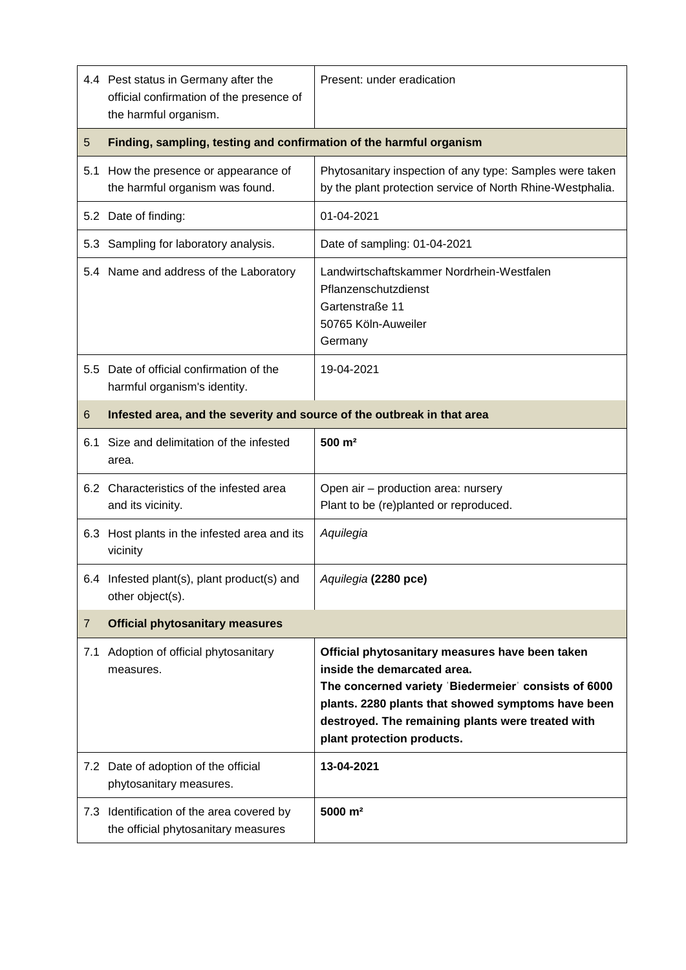|     | 4.4 Pest status in Germany after the<br>official confirmation of the presence of<br>the harmful organism. | Present: under eradication                                                                                                                                                                                                                                                      |  |
|-----|-----------------------------------------------------------------------------------------------------------|---------------------------------------------------------------------------------------------------------------------------------------------------------------------------------------------------------------------------------------------------------------------------------|--|
| 5   | Finding, sampling, testing and confirmation of the harmful organism                                       |                                                                                                                                                                                                                                                                                 |  |
|     | 5.1 How the presence or appearance of<br>the harmful organism was found.                                  | Phytosanitary inspection of any type: Samples were taken<br>by the plant protection service of North Rhine-Westphalia.                                                                                                                                                          |  |
|     | 5.2 Date of finding:                                                                                      | 01-04-2021                                                                                                                                                                                                                                                                      |  |
|     | 5.3 Sampling for laboratory analysis.                                                                     | Date of sampling: 01-04-2021                                                                                                                                                                                                                                                    |  |
|     | 5.4 Name and address of the Laboratory                                                                    | Landwirtschaftskammer Nordrhein-Westfalen<br>Pflanzenschutzdienst<br>Gartenstraße 11<br>50765 Köln-Auweiler<br>Germany                                                                                                                                                          |  |
|     | 5.5 Date of official confirmation of the<br>harmful organism's identity.                                  | 19-04-2021                                                                                                                                                                                                                                                                      |  |
| 6   | Infested area, and the severity and source of the outbreak in that area                                   |                                                                                                                                                                                                                                                                                 |  |
| 6.1 | Size and delimitation of the infested<br>area.                                                            | 500 m <sup>2</sup>                                                                                                                                                                                                                                                              |  |
|     | 6.2 Characteristics of the infested area<br>and its vicinity.                                             | Open air - production area: nursery<br>Plant to be (re)planted or reproduced.                                                                                                                                                                                                   |  |
|     | 6.3 Host plants in the infested area and its<br>vicinity                                                  | Aquilegia                                                                                                                                                                                                                                                                       |  |
|     | 6.4 Infested plant(s), plant product(s) and<br>other object(s).                                           | Aquilegia (2280 pce)                                                                                                                                                                                                                                                            |  |
| 7   | <b>Official phytosanitary measures</b>                                                                    |                                                                                                                                                                                                                                                                                 |  |
| 7.1 | Adoption of official phytosanitary<br>measures.                                                           | Official phytosanitary measures have been taken<br>inside the demarcated area.<br>The concerned variety 'Biedermeier' consists of 6000<br>plants. 2280 plants that showed symptoms have been<br>destroyed. The remaining plants were treated with<br>plant protection products. |  |
|     | 7.2 Date of adoption of the official<br>phytosanitary measures.                                           | 13-04-2021                                                                                                                                                                                                                                                                      |  |
| 7.3 | Identification of the area covered by<br>the official phytosanitary measures                              | 5000 m <sup>2</sup>                                                                                                                                                                                                                                                             |  |